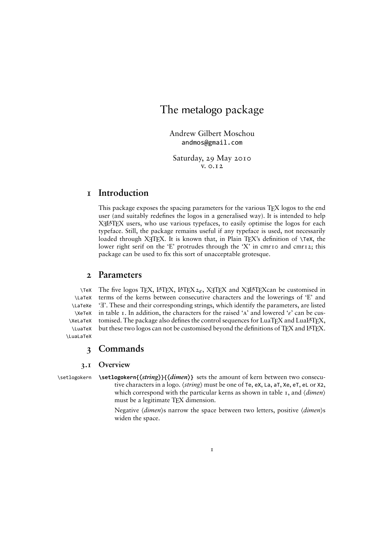# The metalogo package

Andrew Gilbert Moschou andmos@gmail.com

Saturday, 29 May 2010  $V. O.I2$ 

### **Introduction**

This package exposes the spacing parameters for the various TEX logos to the end user (and suitably redefines the logos in a generalised way). It is intended to help XHATEX users, who use various typefaces, to easily optimise the logos for each typeface. Still, the package remains useful if any typeface is used, not necessarily loaded through X<sub>T</sub>TEX. It is known that, in Plain TEX's definition of  $\forall$ TeX, the lower right serif on the 'E' protrudes through the 'X' in cmr10 and cmr12; this package can be used to fix this sort of unacceptable grotesque.

### **Parameters**

\LaTeX \LaTeXe \XeTeX \XeLaTeX \LuaTeX \LuaLaTeX

Tex The five logos TEX, L<sup>AT</sup>EX, L<sup>AT</sup>EX<sub>2 $\epsilon$ </sub>, X<sub>T</sub>TEX and X<sub>T</sub>LATEX can be customised in terms of the kerns between consecutive characters and the lowerings of 'E' and ' E'. These and their corresponding strings, which identify the parameters, are listed in table *τ*. In addition, the characters for the raised 'A' and lowered 'ε' can be customised. The package also defines the control sequences for LuaTEX and LuaLTEX, but these two logos can not be customised beyond the definitions of TEX and LTEX.

### **Commands**

### **. Overview**

\setlogokern **\setlogokern{〈***string***〉}{〈***dimen***〉}** sets the amount of kern between two consecutive characters in a logo.  $\langle$ *string* $\rangle$  must be one of Te, eX, La, aT, Xe, eT, eL or X2, which correspond with the particular kerns as shown in table 1, and *(dimen)* must be a legitimate TEX dimension.

> Negative 〈*dimen*〉s narrow the space between two letters, positive 〈*dimen*〉s widen the space.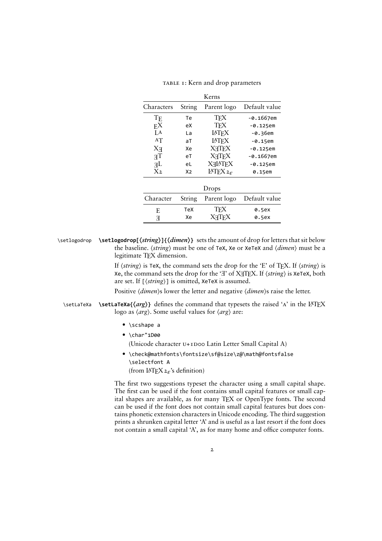| Kerns              |                |                         |               |  |  |
|--------------------|----------------|-------------------------|---------------|--|--|
| Characters         | String         | Parent logo             | Default value |  |  |
| $T_{\rm E}$        | Тe             | <b>TFX</b>              | $-0.1667$ em  |  |  |
| $_{\rm FX}$        | еX             | <b>TFX</b>              | -0.125em      |  |  |
| A                  | La             | <b>IATEX</b>            | -0.36em       |  |  |
| AT                 | aT             | <b>IATFX</b>            | $-0.15$ em    |  |  |
| $X_{\overline{A}}$ | Xe             | <b>XHTFX</b>            | -0.125em      |  |  |
| TF                 | eT             | <b>X<sub>T</sub>TFX</b> | -0.1667em     |  |  |
| AE                 | eL             | <b>XHATFX</b>           | $-0.125$ em   |  |  |
| X <sub>2</sub>     | X <sub>2</sub> | IATEX $2\varepsilon$    | 0.15em        |  |  |
| Drops              |                |                         |               |  |  |
| Character          | String         | Parent logo             | Default value |  |  |
| F.                 | TeX            | TfX                     | 0.5ex         |  |  |
| F                  | Xe             | XAIFX                   | 0.5ex         |  |  |

TABLE 1: Kern and drop parameters

\setlogodrop **\setlogodrop[〈***string***〉]{〈***dimen***〉}** sets the amount of drop for letters that sit below the baseline. 〈*string*〉 must be one of TeX, Xe or XeTeX and 〈*dimen*〉 must be a legitimate TEX dimension.

> If 〈*string*〉 is TeX, the command sets the drop for the 'E' of TEX. If 〈*string*〉 is Xe, the command sets the drop for the '<sub>H</sub>' of X<sub>H</sub>TEX. If  $\langle$ *string* $\rangle$  is XeTeX, both are set. If [〈*string*〉] is omitted, XeTeX is assumed.

Positive  $\langle$ *dimen* $\rangle$ s lower the letter and negative  $\langle$ *dimen* $\rangle$ s raise the letter.

**\setLaTeXa \setLaTeXa{** $\{arg\}$ } defines the command that typesets the raised 'A' in the L<sup>AT</sup>EX logo as 〈*arg*〉. Some useful values for 〈*arg*〉 are:

- \scshape a
- $\bullet$  \char"1D00

(Unicode character  $U+I$ Doo Latin Letter Small Capital A)

• \check@mathfonts\fontsize\sf@size\z@\math@fontsfalse \selectfont A (from LTEX*ε*'s definition)

The first two suggestions typeset the character using a small capital shape. The first can be used if the font contains small capital features or small capital shapes are available, as for many TEX or OpenType fonts. The second can be used if the font does not contain small capital features but does contains phonetic extension characters in Unicode encoding. The third suggestion prints a shrunken capital letter 'A' and is useful as a last resort if the font does not contain a small capital 'A', as for many home and office computer fonts.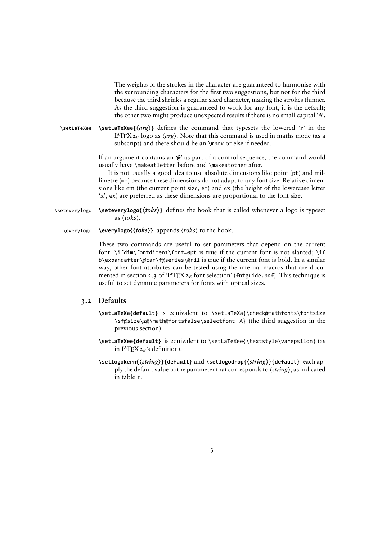The weights of the strokes in the character are guaranteed to harmonise with the surrounding characters for the first two suggestions, but not for the third because the third shrinks a regular sized character, making the strokes thinner. As the third suggestion is guaranteed to work for any font, it is the default; the other two might produce unexpected results if there is no small capital 'A'.

\setLaTeXee **\setLaTeXee{〈***arg***〉}** defines the command that typesets the lowered '*ε*' in the LTEX*ε* logo as 〈*arg*〉. Note that this command is used in maths mode (as a subscript) and there should be an \mbox or else if needed.

> If an argument contains an '@' as part of a control sequence, the command would usually have \makeatletter before and \makeatother after.

> It is not usually a good idea to use absolute dimensions like point (pt) and millimetre (mm) because these dimensions do not adapt to any font size. Relative dimensions like em (the current point size, em) and ex (the height of the lowercase letter 'x', ex) are preferred as these dimensions are proportional to the font size.

\seteverylogo **\seteverylogo{〈***toks***〉}** defines the hook that is called whenever a logo is typeset as 〈*toks*〉.

\everylogo **\everylogo{〈***toks***〉}** appends 〈*toks*〉 to the hook.

These two commands are useful to set parameters that depend on the current font.  $\if{diffim\font{inl}}font{font=opt}$  is true if the current font is not slanted;  $\if{if}$ b\expandafter\@car\f@series\@nil is true if the current font is bold. In a similar way, other font attributes can be tested using the internal macros that are documented in section 2.3 of 'L<sup>AT</sup>EX<sub>2 $\varepsilon$ </sub> font selection' (fntguide.pdf). This technique is useful to set dynamic parameters for fonts with optical sizes.

### **. Defaults**

- **\setLaTeXa{default}** is equivalent to \setLaTeXa{\check@mathfonts\fontsize \sf@size\z@\math@fontsfalse\selectfont A} (the third suggestion in the previous section).
- **\setLaTeXee{default}** is equivalent to \setLaTeXee{\textstyle\varepsilon} (as in LTEX*ε*'s definition).
- **\setlogokern{〈***string***〉}{default}** and **\setlogodrop{〈***string***〉}{default}** each apply the default value to the parameter that corresponds to 〈*string*〉, as indicated in table  $\tau$ .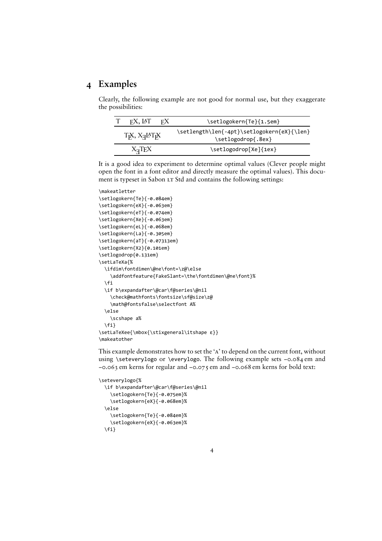## **Examples**

Clearly, the following example are not good for normal use, but they exaggerate the possibilities:

|                                                     | FX, IAT | FX. | \setlogokern{Te}{1.5em}                                          |  |
|-----------------------------------------------------|---------|-----|------------------------------------------------------------------|--|
| Т <sub>Р</sub> Х, Х <sub>Я</sub> ІАТ <sub>Р</sub> Х |         |     | \setlength\len{-4pt}\setlogokern{eX}{\len}<br>\setlogodrop{.8ex} |  |
| $X_{\overline{A}}T_{\overline{E}}X$                 |         |     | \setlogodrop[Xe]{1ex}                                            |  |

It is a good idea to experiment to determine optimal values (Clever people might open the font in a font editor and directly measure the optimal values). This document is typeset in Sabon LT Std and contains the following settings:

```
\makeatletter
\setlogokern{Te}{-0.084em}
\setlogokern{eX}{-0.063em}
\setlogokern{eT}{-0.074em}
\setlogokern{Xe}{-0.063em}
\setlogokern{eL}{-0.068em}
\setlogokern{La}{-0.305em}
\setlogokern{aT}{-0.07313em}
\setlogokern{X2}{0.101em}
\setlogodrop{0.131em}
\setLaTeXa{%
  \ifdim\fontdimen\@ne\font=\z@\else
    \addfontfeature{FakeSlant=\the\fontdimen\@ne\font}%
  \fi
  \if b\expandafter\@car\f@series\@nil
    \check@mathfonts\fontsize\sf@size\z@
    \math@fontsfalse\selectfont A%
  \else
   \scshape a%
  \fi}
\setLaTeXee{\mbox{\stixgeneral\itshape ε}}
\makeatother
```
This example demonstrates how to set the 'A' to depend on the current font, without using \seteverylogo or \everylogo. The following example sets -0.084 em and −0.063 em kerns for regular and −0.075 em and −0.068 em kerns for bold text:

```
\seteverylogo{%
  \if b\expandafter\@car\f@series\@nil
    \setlogokern{Te}{-0.075em}%
    \setlogokern{eX}{-0.068em}%
  \else
    \setlogokern{Te}{-0.084em}%
    \setlogokern{eX}{-0.063em}%
  \fi}
```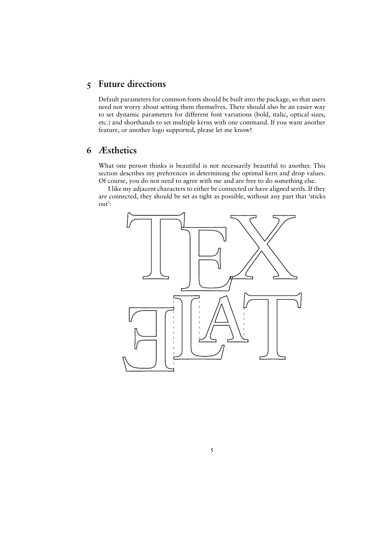## **Future directions**

Default parameters for common fonts should be built into the package, so that users need not worry about setting them themselves. There should also be an easier way to set dynamic parameters for different font variations (bold, italic, optical sizes, etc.) and shorthands to set multiple kerns with one command. If you want another feature, or another logo supported, please let me know!

## **Æsthetics**

What one person thinks is beautiful is not necessarily beautiful to another. This section describes my preferences in determining the optimal kern and drop values. Of course, you do not need to agree with me and are free to do something else.

I like my adjacent characters to either be connected or have aligned serifs. If they are connected, they should be set as tight as possible, without any part that 'sticks out':

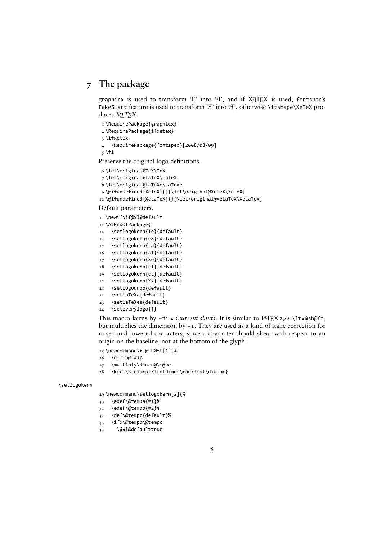## **The package**

graphicx is used to transform 'E' into 'T', and if  $XTFX$  is used, fontspec's FakeSlant feature is used to transform ' $\exists$ ' into ' $\exists$ ', otherwise \itshape\XeTeX produces *X*<sub>H</sub>*T<sub>E</sub>X*.

```
I\RequirePackage{graphicx}
 \RequirePackage{ifxetex}
 \ifxetex
4 \RequirePackage{fontspec}[2008/08/09]
\frac{1}{2} \fi
```
Preserve the original logo definitions.

```
 \let\original@TeX\TeX
```

```
 \let\original@LaTeX\LaTeX
```

```
 \let\original@LaTeXe\LaTeXe
```

```
 \@ifundefined{XeTeX}{}{\let\original@XeTeX\XeTeX}
```

```
 \@ifundefined{XeLaTeX}{}{\let\original@XeLaTeX\XeLaTeX}
```
Default parameters.

```
 \newif\if@xl@default
```
- \AtEndOfPackage{
- \setlogokern{Te}{default}
- \setlogokern{eX}{default}
- \setlogokern{La}{default}
- \setlogokern{aT}{default}
- 17 \setlogokern{Xe}{default}
- \setlogokern{eT}{default} \setlogokern{eL}{default}
- 20 \setlogokern{X2}{default}
- 21 \setlogodrop{default}
- \setLaTeXa{default}
- \setLaTeXee{default}
- \seteverylogo{}}

This macro kerns by −#ɴ × 〈*current slant*〉. It is similar to LTEX*ε*'s \ltx@sh@ft, but multiplies the dimension by −1. They are used as a kind of italic correction for raised and lowered characters, since a character should shear with respect to an origin on the baseline, not at the bottom of the glyph.

- \newcommand\xl@sh@ft[ɴ]{%
- $26$  \dimen@ #1%
- $27$  \multiply\dimen@\m@ne
- \kern\strip@pt\fontdimen\@ne\font\dimen@}

\setlogokern

29 \newcommand\setlogokern[2]{%

- \edef\@tempa{#ɴ}%
- \edef\@tempb{#ɵ}%
- \def\@tempc{default}%
- \ifx\@tempb\@tempc
- 34 \@xl@defaulttrue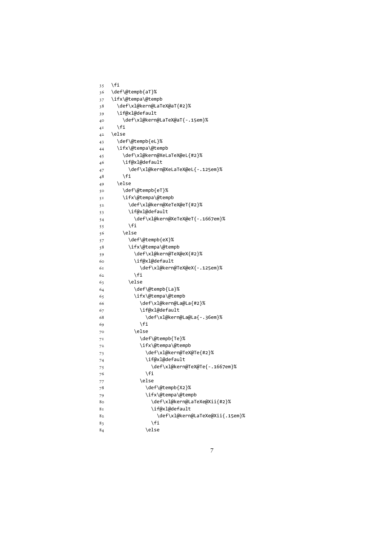```
35 \fi
 \def\@tempb{aT}%
37 \ifx\@tempa\@tempb
38 \def\xl@kern@LaTeX@aT{#2}%
 \if@xl@default
40 \def\xl@kern@LaTeX@aT{-.15em}%
4<sup>I</sup> \fi
42 \else
 \def\@tempb{eL}%
 \ifx\@tempa\@tempb
 \def\xl@kern@XeLaTeX@eL{#ɵ}%
 \if@xl@default
47 \def\xl@kern@XeLaTeX@eL{-.125em}%
48 \fi
49 \else
 \def\@tempb{eT}%
 \ifx\@tempa\@tempb
52 \def\xl@kern@XeTeX@eT{#2}%
 \if@xl@default
54 \def\xl@kern@XeTeX@eT{-.1667em}%
55 \fi
56 \else
 \def\@tempb{eX}%
 \ifx\@tempa\@tempb
59 \def\xl@kern@TeX@eX{#2}%
 \if@xl@default
6I \def\xl@kern@TeX@eX{-.125em}%
62 \overline{\ } \overline{\ } \fi
63 \else
 \def\@tempb{La}%
 \ifx\@tempa\@tempb
 \def\xl@kern@La@La{#ɵ}%
 \if@xl@default
68 \def\xl@kern@La@La{-.36em}%
69 \fi
70 \else
 \def\@tempb{Te}%
72 \lifx\@tempa\@tempb
73 \def\xl@kern@TeX@Te{#2}%
74 \if@xl@default
75 \def\xl@kern@TeX@Te{-.1667em}%
76 \fi
77 \else
78 \def\@tempb{X2}%
79 \ifx\@tempa\@tempb
80 \def\xl@kern@LaTeXe@Xii{#2}%
 \if@xl@default
82 \def\xl@kern@LaTeXe@Xii{.15em}%
83 \overline{\phantom{a}} \fi
84 \else
```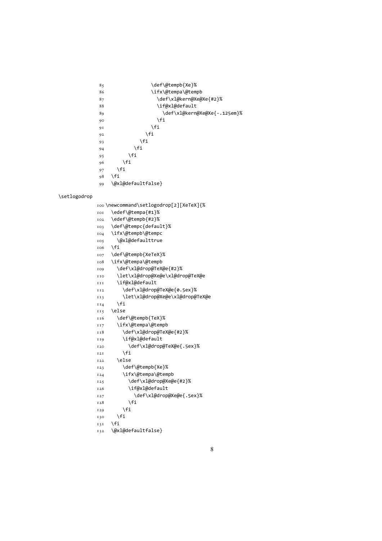```
\text{roo}\newcommand\setminus\setminus\setminus\leq\logodrop[2][XeTeX]{ \edef\@tempa{#ɴ}%
 \edef\@tempb{#ɵ}%
 \def\@tempc{default}%
 \ifx\@tempb\@tempc
 \@xl@defaulttrue
106 \fi
 \def\@tempb{XeTeX}%
 \ifx\@tempa\@tempb
109 \def\xl@drop@TeX@e{#2}%
 \let\xl@drop@Xe@e\xl@drop@TeX@e
 \if@xl@default
II2 \def\xl@drop@TeX@e{0.5ex}%
 \let\xl@drop@Xe@e\xl@drop@TeX@e
114 \fi
 \else
 \def\@tempb{TeX}%
 \ifx\@tempa\@tempb
II8 \def\xl@drop@TeX@e{#2}%
 \if@xl@default
I20 \def\xl@drop@TeX@e{.5ex}%
\frac{1}{21} \fi
122 \else
 \def\@tempb{Xe}%
 \ifx\@tempa\@tempb
125 \def\xl@drop@Xe@e{#2}%
 \if@xl@default
I27 \def\xl@drop@Xe@e{.5ex}%
128 \fi
129 \fi
130 \fi
131 \quad \text{If}132 \@xl@defaultfalse}
```
\setlogodrop

```
 \def\@tempb{Xe}%
 \ifx\@tempa\@tempb
87 \def\xl@kern@Xe@Xe{#2}%
88 \if@xl@default
89 \def\xl@kern@Xe@Xe{-.125em}%
\overline{90} \fi
91 \fi
92 \overline{1}93 \setminusfi
94 \fi
95 \fi
96 \fi
97 \fi
98 \fi
 \@xl@defaultfalse}
```
8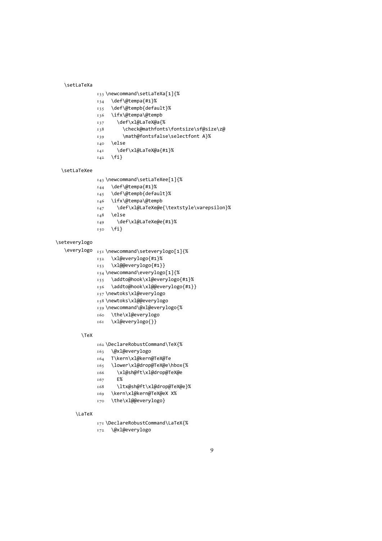```
\setLaTeXa
          \newcommand\setLaTeXa[ɴ]{%
          \def\@tempa{#ɴ}%
          \def\@tempb{default}%
          \ifx\@tempa\@tempb
          \def\xl@LaTeX@a{%
          \check@mathfonts\fontsize\sf@size\z@
          \math@fontsfalse\selectfont A}%
         140 \else
          \def\xl@LaTeX@a{#ɴ}%
```

```
I_{42} \fi}
```
\setLaTeXee

```
 \newcommand\setLaTeXee[ɴ]{%
```

```
I_{44} \def\@tempa{#1}%
 \def\@tempb{default}%
 \ifx\@tempa\@tempb
 \def\xl@LaTeXe@e{\textstyle\varepsilon}%
148 \else
```

```
 \def\xl@LaTeXe@e{#ɴ}%
```

```
150 \quad \text{If}
```
### \seteverylogo

```
\everylogo _{151} \newcommand\seteverylogo[1]{%
```

```
 \xl@everylogo{#ɴ}%
```

```
 \xl@@everylogo{#ɴ}}
```

```
 \newcommand\everylogo[ɴ]{%
```
- \addto@hook\xl@everylogo{#ɴ}%
- \addto@hook\xl@@everylogo{#ɴ}}
- 157\newtoks\xl@everylogo
- 158\newtoks\xl@@everylogo
- \newcommand\@xl@everylogo{%
- \the\xl@everylogo
- \xl@everylogo{}}

#### \TeX

- \DeclareRobustCommand\TeX{%
- \@xl@everylogo
- T\kern\xl@kern@TeX@Te
- \lower\xl@drop@TeX@e\hbox{%
- \xl@sh@ft\xl@drop@TeX@e
- T<sub>67</sub> E%
- \ltx@sh@ft\xl@drop@TeX@e}%
- \kern\xl@kern@TeX@eX X%
- 170 \the\xl@@everylogo}

#### \LaTeX

- \DeclareRobustCommand\LaTeX{%
- 172 \@xl@everylogo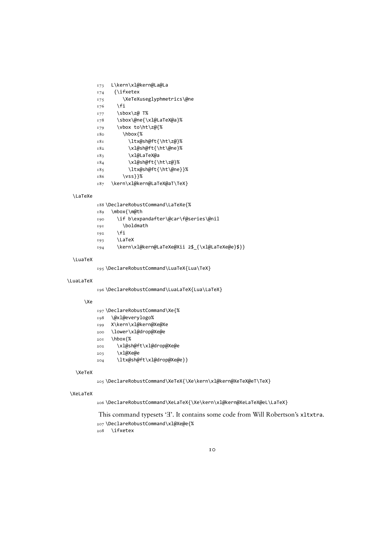- 173 L\kern\xl@kern@La@La
- 
- 
- 175 \XeTeXuseglyphmetrics\@ne
- 
- 
- 
- 
- 
- 
- 
- 
- 
- 
- 
- $174$  {\ifxetex
- 
- 
- 
- 
- 
- 

 \sbox\@ne{\xl@LaTeX@a}%  $179$  \vbox to\ht\z@{% \hbox{%

 \ltx@sh@ft{\ht\z@}% \xl@sh@ft{\ht\@ne}%

187 \kern\xl@kern@LaTeX@aT\TeX}

\DeclareRobustCommand\LaTeXe{%

\if b\expandafter\@car\f@series\@nil

195\DeclareRobustCommand\LuaTeX{Lua\TeX}

\DeclareRobustCommand\Xe{%

\xl@sh@ft\xl@drop@Xe@e

\ltx@sh@ft\xl@drop@Xe@e}}

207\DeclareRobustCommand\xl@Xe@e{%

 \@xl@everylogo% X\kern\xl@kern@Xe@Xe \lower\xl@drop@Xe@e

\hbox{%

\xl@Xe@e

\ifxetex

\DeclareRobustCommand\LuaLaTeX{Lua\LaTeX}

194 \kern\xl@kern@LaTeXe@Xii 2\$\_{\xl@LaTeXe@e}\$}}

\DeclareRobustCommand\XeTeX{\Xe\kern\xl@kern@XeTeX@eT\TeX}

\DeclareRobustCommand\XeLaTeX{\Xe\kern\xl@kern@XeLaTeX@eL\LaTeX}

This command typesets 'T'. It contains some code from Will Robertson's x1txtra.

IO

 $176$  \fi

177 \sbox\z@ T%

 \xl@LaTeX@a \xl@sh@ft{\ht\z@}% \ltx@sh@ft{\ht\@ne}}%

\vss}}%

\mbox{\m@th

 $192$  \fi 193 \LaTeX

\boldmath

\LaTeXe

\LuaTeX

\LuaLaTeX

\Xe

\XeTeX

\XeLaTeX

- 
- 
- 
- 
- 
- 
- 
- 
- 
- 
- 
- 
- 
- 
- 
- 
-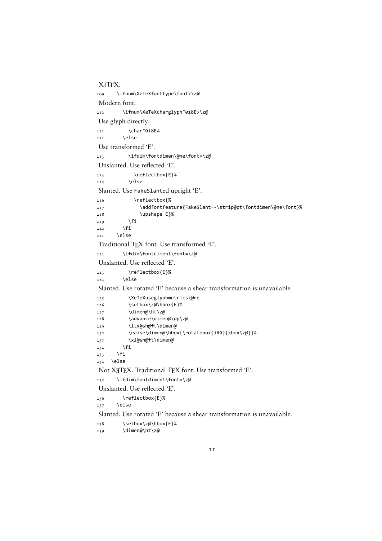XTTFX. \ifnum\XeTeXfonttype\font>\z@ Modern font. \ifnum\XeTeXcharglyph"ɱɴɻE>\z@ Use glyph directly.  $2II$  \char"018E%  $2I2$  \else Use transformed 'E'. \ifdim\fontdimen\@ne\font=\z@ Unslanted. Use reflected 'E'.  $2I4$  \reflectbox{E}%  $215$  \else Slanted. Use FakeSlanted upright 'E'. \reflectbox{% \addfontfeature{FakeSlant=-\strip@pt\fontdimen\@ne\font}% 218 \upshape E}%  $219$  \fi  $220$  \fi  $22I$  \else Traditional TEX font. Use transformed 'E'. 222 \ifdim\fontdimen1\font=\z@ Unslanted. Use reflected 'E'. \reflectbox{E}%  $224$  \else Slanted. Use rotated 'E' because a shear transformation is unavailable. \XeTeXuseglyphmetrics\@ne \setbox\z@\hbox{E}%  $227$  \dimen@\ht\z@ \advance\dimen@\dp\z@ \ltx@sh@ft\dimen@ 130 \raise\dimen@\hbox{\rotatebox{180}{\box\z@}}% \xl@sh@ft\dimen@  $232$  \fi  $233$  \fi  $234$  \else Not X<sub>T</sub>TEX. Traditional TEX font. Use transformed 'E'.  $235$  \ifdim\fontdimen1\font=\z@ Unslanted. Use reflected 'E'. \reflectbox{E}%  $237$  \else Slanted. Use rotated 'E' because a shear transformation is unavailable.

238 \setbox\z@\hbox{E}%

239 \dimen@\ht\z@